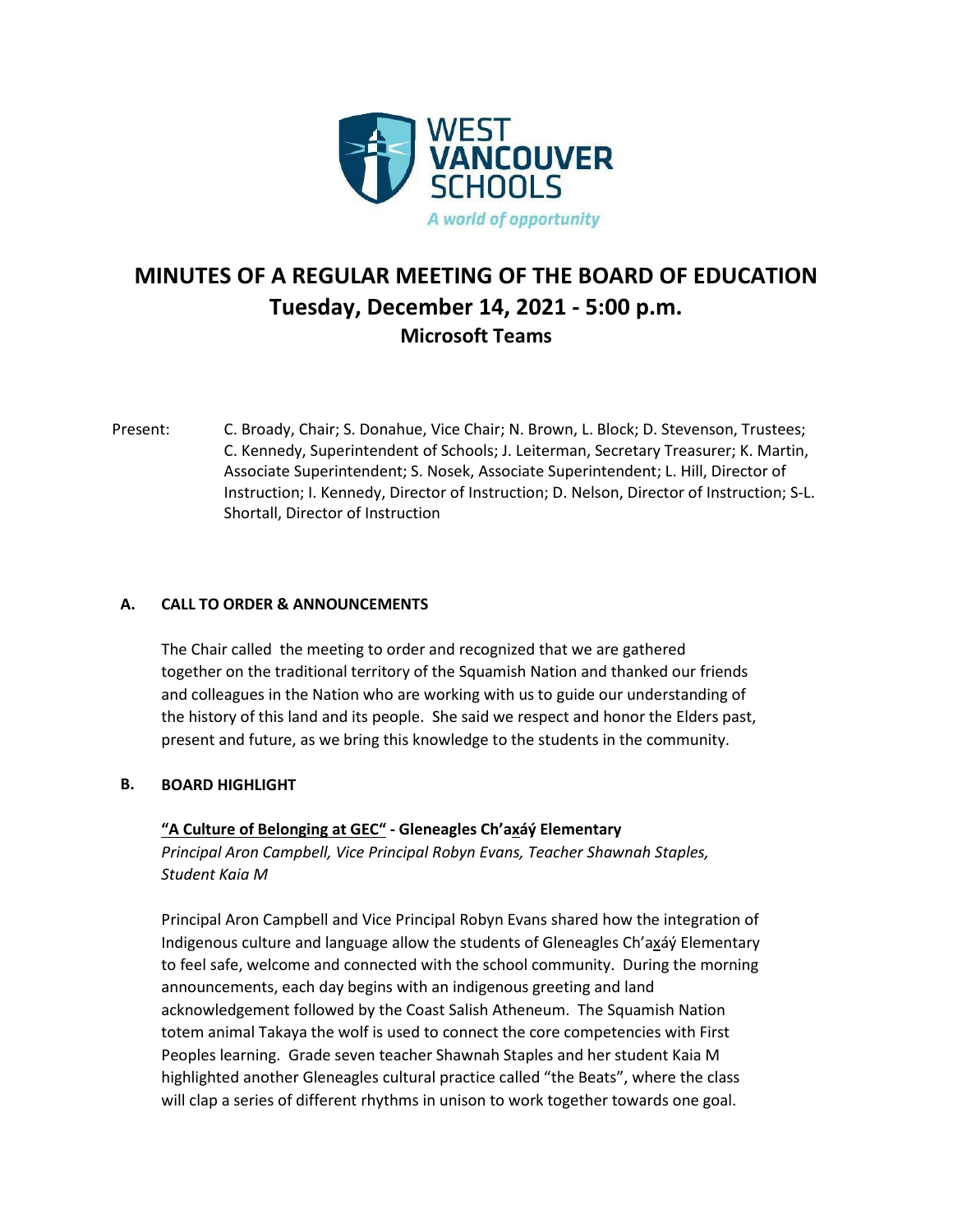

# **MINUTES OF A REGULAR MEETING OF THE BOARD OF EDUCATION Tuesday, December 14, 2021 - 5:00 p.m. Microsoft Teams**

Present: C. Broady, Chair; S. Donahue, Vice Chair; N. Brown, L. Block; D. Stevenson, Trustees; C. Kennedy, Superintendent of Schools; J. Leiterman, Secretary Treasurer; K. Martin, Associate Superintendent; S. Nosek, Associate Superintendent; L. Hill, Director of Instruction; I. Kennedy, Director of Instruction; D. Nelson, Director of Instruction; S-L. Shortall, Director of Instruction

### **A. CALL TO ORDER & ANNOUNCEMENTS**

The Chair called the meeting to order and recognized that we are gathered together on the traditional territory of the Squamish Nation and thanked our friends and colleagues in the Nation who are working with us to guide our understanding of the history of this land and its people. She said we respect and honor the Elders past, present and future, as we bring this knowledge to the students in the community.

### **B. BOARD HIGHLIGHT**

### **"A Culture of Belonging at GEC" - Gleneagles Ch'axáý Elementary**

*Principal Aron Campbell, Vice Principal Robyn Evans, Teacher Shawnah Staples, Student Kaia M*

Principal Aron Campbell and Vice Principal Robyn Evans shared how the integration of Indigenous culture and language allow the students of Gleneagles Ch'axáý Elementary to feel safe, welcome and connected with the school community. During the morning announcements, each day begins with an indigenous greeting and land acknowledgement followed by the Coast Salish Atheneum. The Squamish Nation totem animal Takaya the wolf is used to connect the core competencies with First Peoples learning. Grade seven teacher Shawnah Staples and her student Kaia M highlighted another Gleneagles cultural practice called "the Beats", where the class will clap a series of different rhythms in unison to work together towards one goal.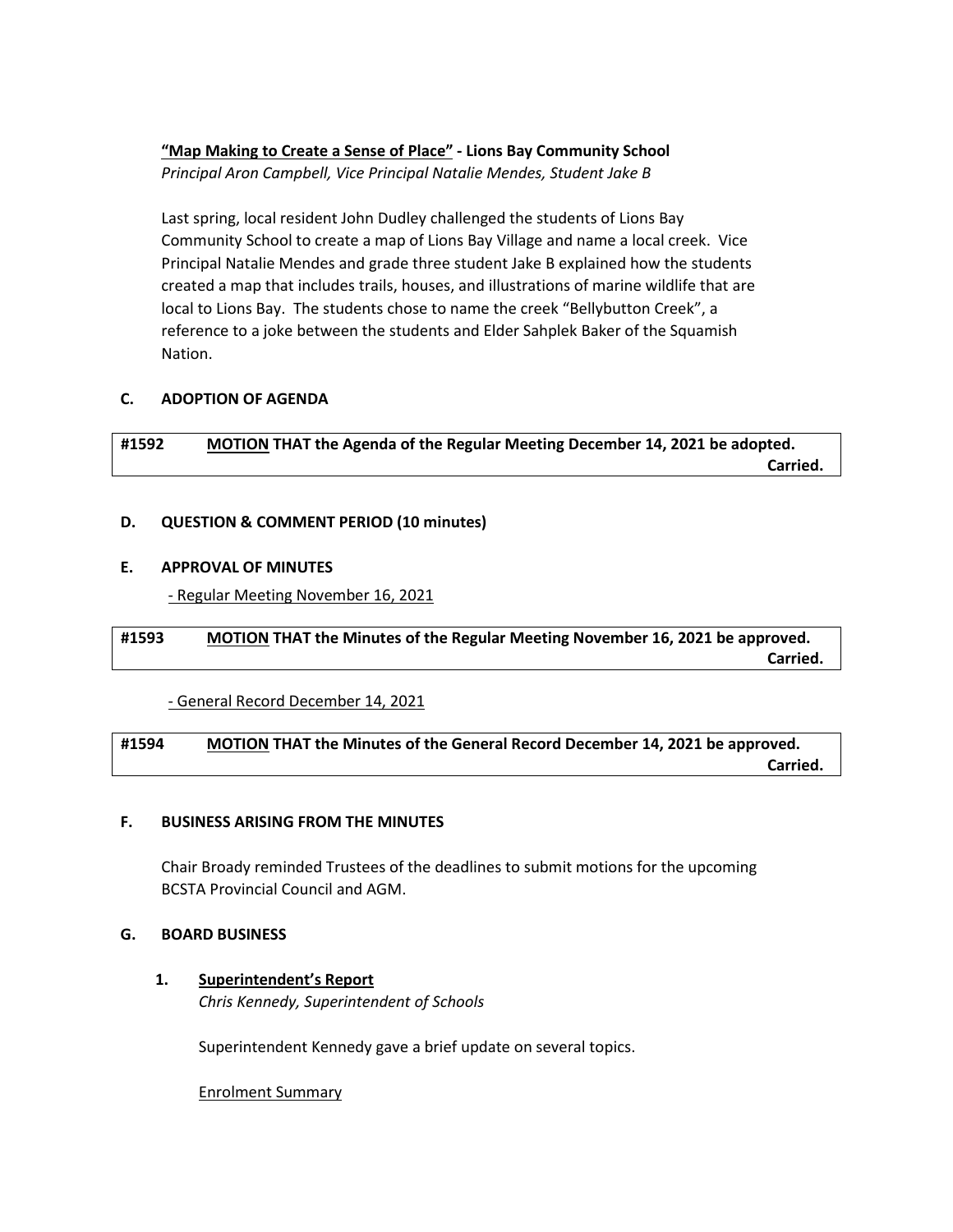# **"Map Making to Create a Sense of Place" - Lions Bay Community School**

*Principal Aron Campbell, Vice Principal Natalie Mendes, Student Jake B*

Last spring, local resident John Dudley challenged the students of Lions Bay Community School to create a map of Lions Bay Village and name a local creek. Vice Principal Natalie Mendes and grade three student Jake B explained how the students created a map that includes trails, houses, and illustrations of marine wildlife that are local to Lions Bay. The students chose to name the creek "Bellybutton Creek", a reference to a joke between the students and Elder Sahplek Baker of the Squamish Nation.

## **C. ADOPTION OF AGENDA**

**#1592 MOTION THAT the Agenda of the Regular Meeting December 14, 2021 be adopted. Carried. Carried.** 

### **D. QUESTION & COMMENT PERIOD (10 minutes)**

### **E. APPROVAL OF MINUTES**

- Regular Meeting November 16, 2021

## **#1593 MOTION THAT the Minutes of the Regular Meeting November 16, 2021 be approved. Carried. Carried.**

- General Record December 14, 2021

### **#1594 MOTION THAT the Minutes of the General Record December 14, 2021 be approved. Carried. Carried.**

### **F. BUSINESS ARISING FROM THE MINUTES**

Chair Broady reminded Trustees of the deadlines to submit motions for the upcoming BCSTA Provincial Council and AGM.

### **G. BOARD BUSINESS**

### **1. Superintendent's Report**

*Chris Kennedy, Superintendent of Schools*

Superintendent Kennedy gave a brief update on several topics.

Enrolment Summary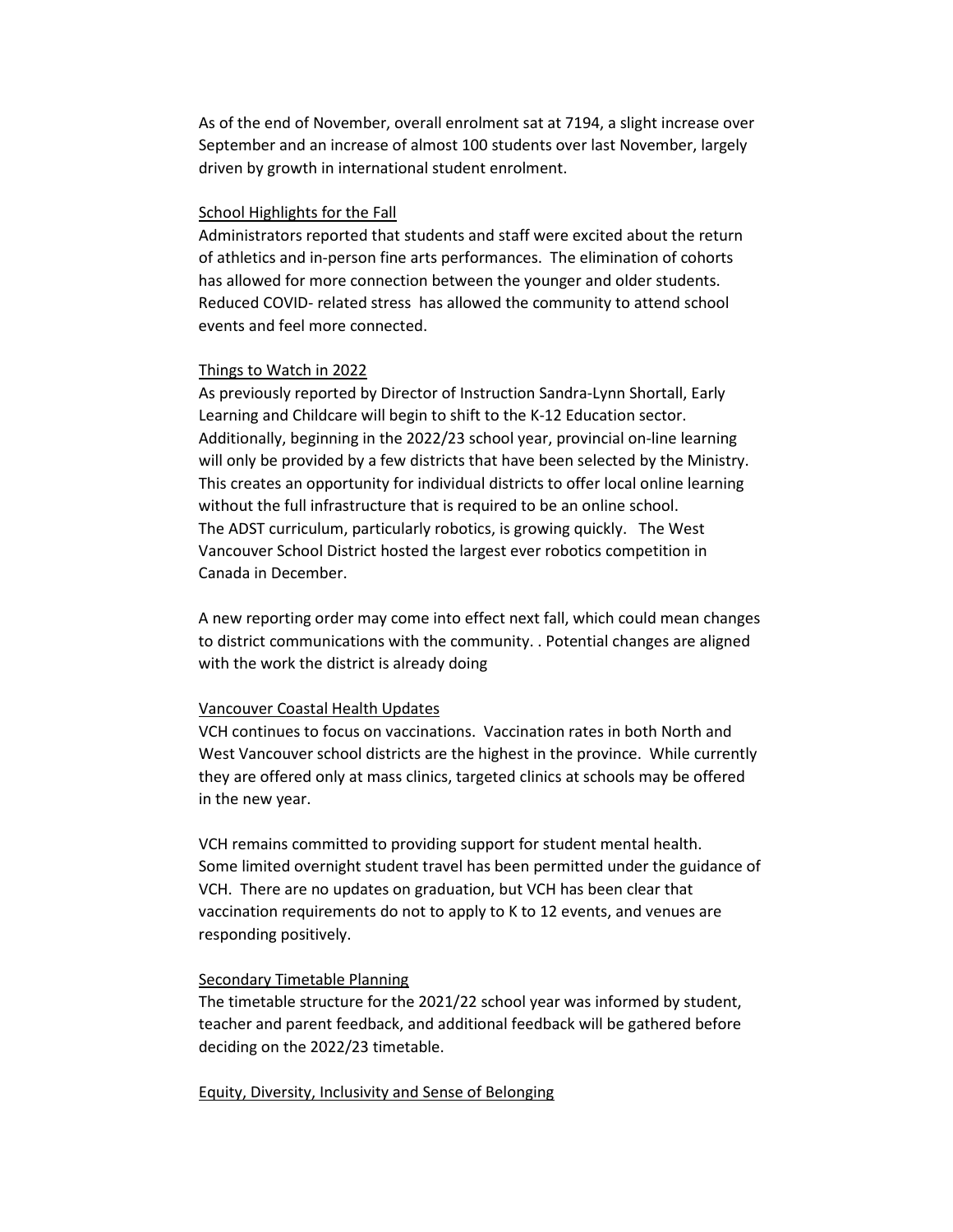As of the end of November, overall enrolment sat at 7194, a slight increase over September and an increase of almost 100 students over last November, largely driven by growth in international student enrolment.

#### School Highlights for the Fall

Administrators reported that students and staff were excited about the return of athletics and in-person fine arts performances. The elimination of cohorts has allowed for more connection between the younger and older students. Reduced COVID- related stress has allowed the community to attend school events and feel more connected.

### Things to Watch in 2022

As previously reported by Director of Instruction Sandra-Lynn Shortall, Early Learning and Childcare will begin to shift to the K-12 Education sector. Additionally, beginning in the 2022/23 school year, provincial on-line learning will only be provided by a few districts that have been selected by the Ministry. This creates an opportunity for individual districts to offer local online learning without the full infrastructure that is required to be an online school. The ADST curriculum, particularly robotics, is growing quickly. The West Vancouver School District hosted the largest ever robotics competition in Canada in December.

A new reporting order may come into effect next fall, which could mean changes to district communications with the community. . Potential changes are aligned with the work the district is already doing

### Vancouver Coastal Health Updates

VCH continues to focus on vaccinations. Vaccination rates in both North and West Vancouver school districts are the highest in the province. While currently they are offered only at mass clinics, targeted clinics at schools may be offered in the new year.

VCH remains committed to providing support for student mental health. Some limited overnight student travel has been permitted under the guidance of VCH. There are no updates on graduation, but VCH has been clear that vaccination requirements do not to apply to K to 12 events, and venues are responding positively.

#### Secondary Timetable Planning

The timetable structure for the 2021/22 school year was informed by student, teacher and parent feedback, and additional feedback will be gathered before deciding on the 2022/23 timetable.

Equity, Diversity, Inclusivity and Sense of Belonging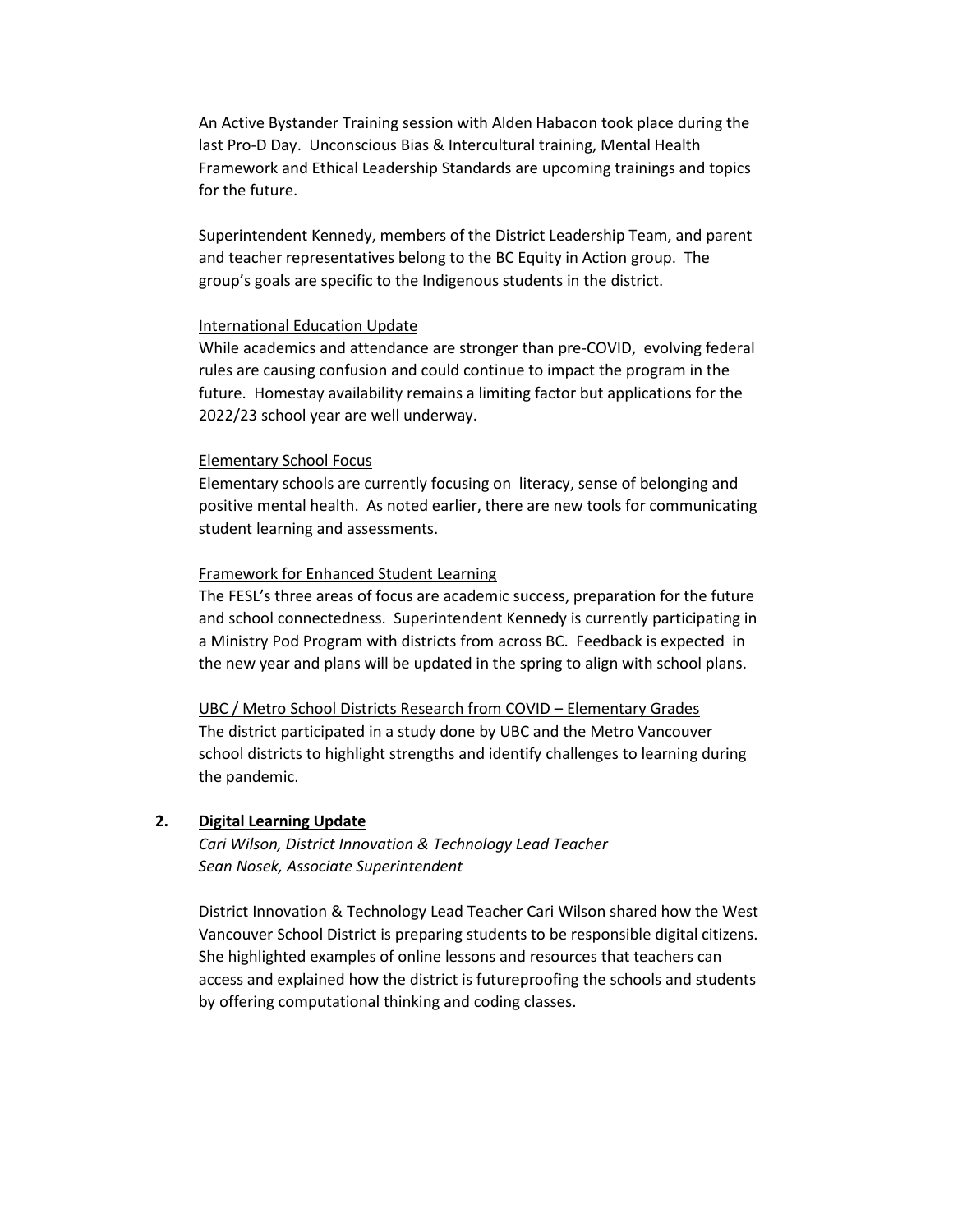An Active Bystander Training session with Alden Habacon took place during the last Pro-D Day. Unconscious Bias & Intercultural training, Mental Health Framework and Ethical Leadership Standards are upcoming trainings and topics for the future.

Superintendent Kennedy, members of the District Leadership Team, and parent and teacher representatives belong to the BC Equity in Action group. The group's goals are specific to the Indigenous students in the district.

### International Education Update

While academics and attendance are stronger than pre-COVID, evolving federal rules are causing confusion and could continue to impact the program in the future. Homestay availability remains a limiting factor but applications for the 2022/23 school year are well underway.

#### Elementary School Focus

Elementary schools are currently focusing on literacy, sense of belonging and positive mental health. As noted earlier, there are new tools for communicating student learning and assessments.

#### Framework for Enhanced Student Learning

The FESL's three areas of focus are academic success, preparation for the future and school connectedness. Superintendent Kennedy is currently participating in a Ministry Pod Program with districts from across BC. Feedback is expected in the new year and plans will be updated in the spring to align with school plans.

#### UBC / Metro School Districts Research from COVID – Elementary Grades

The district participated in a study done by UBC and the Metro Vancouver school districts to highlight strengths and identify challenges to learning during the pandemic.

### **2. Digital Learning Update**

*Cari Wilson, District Innovation & Technology Lead Teacher Sean Nosek, Associate Superintendent*

District Innovation & Technology Lead Teacher Cari Wilson shared how the West Vancouver School District is preparing students to be responsible digital citizens. She highlighted examples of online lessons and resources that teachers can access and explained how the district is futureproofing the schools and students by offering computational thinking and coding classes.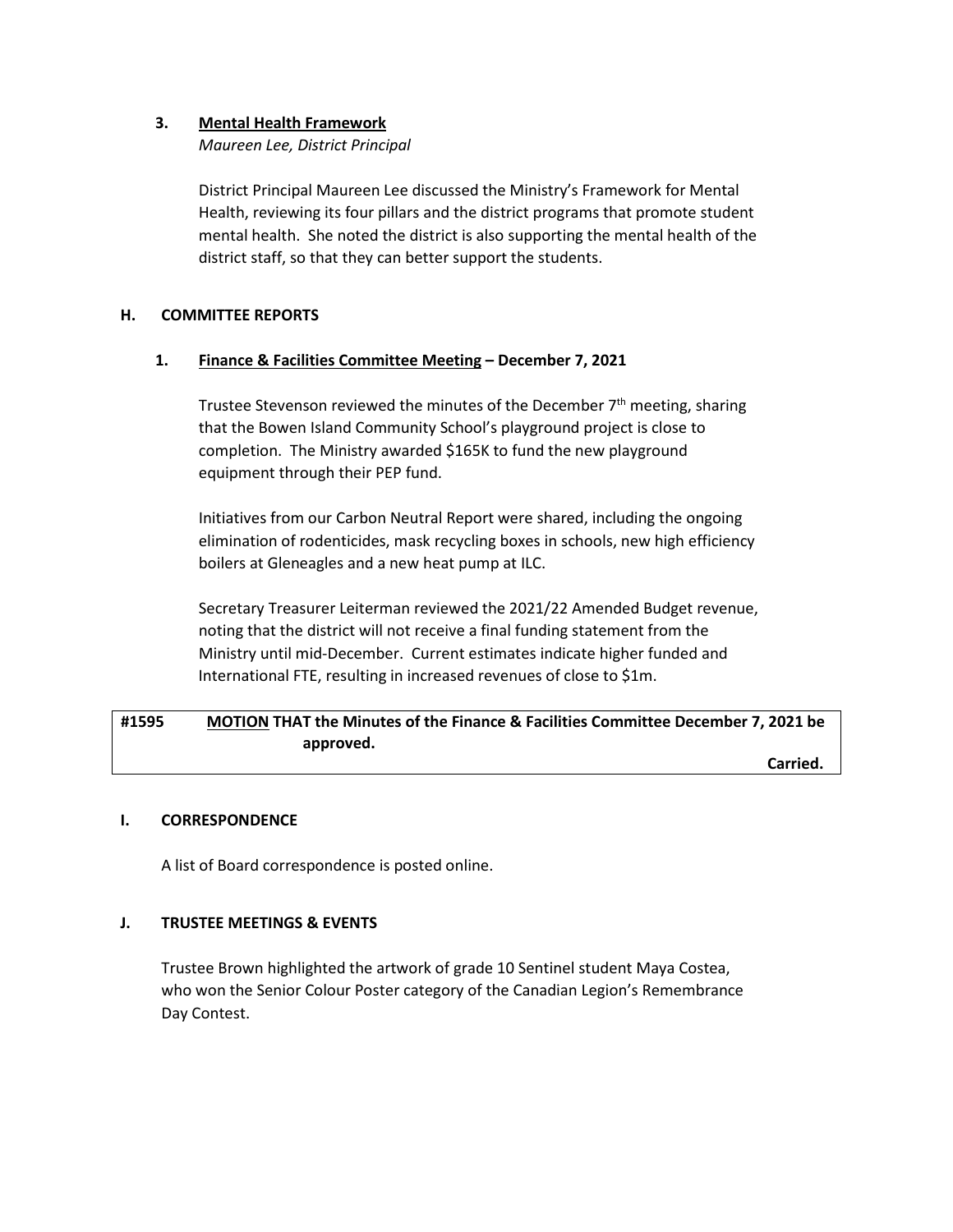### **3. Mental Health Framework**

*Maureen Lee, District Principal*

District Principal Maureen Lee discussed the Ministry's Framework for Mental Health, reviewing its four pillars and the district programs that promote student mental health. She noted the district is also supporting the mental health of the district staff, so that they can better support the students.

### **H. COMMITTEE REPORTS**

### **1. Finance & Facilities Committee Meeting – December 7, 2021**

Trustee Stevenson reviewed the minutes of the December  $7<sup>th</sup>$  meeting, sharing that the Bowen Island Community School's playground project is close to completion. The Ministry awarded \$165K to fund the new playground equipment through their PEP fund.

Initiatives from our Carbon Neutral Report were shared, including the ongoing elimination of rodenticides, mask recycling boxes in schools, new high efficiency boilers at Gleneagles and a new heat pump at ILC.

Secretary Treasurer Leiterman reviewed the 2021/22 Amended Budget revenue, noting that the district will not receive a final funding statement from the Ministry until mid-December. Current estimates indicate higher funded and International FTE, resulting in increased revenues of close to \$1m.

# **#1595 MOTION THAT the Minutes of the Finance & Facilities Committee December 7, 2021 be approved.**

**Carried. Carried.** 

### **I. CORRESPONDENCE**

A list of Board correspondence is posted online.

### **J. TRUSTEE MEETINGS & EVENTS**

Trustee Brown highlighted the artwork of grade 10 Sentinel student Maya Costea, who won the Senior Colour Poster category of the Canadian Legion's Remembrance Day Contest.